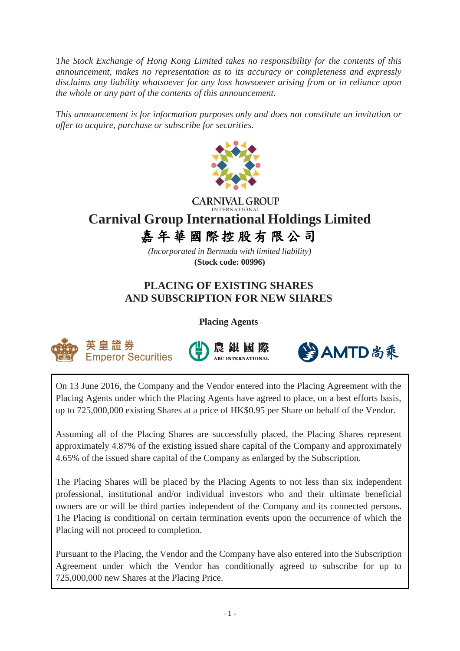*The Stock Exchange of Hong Kong Limited takes no responsibility for the contents of this announcement, makes no representation as to its accuracy or completeness and expressly disclaims any liability whatsoever for any loss howsoever arising from or in reliance upon the whole or any part of the contents of this announcement.*

*This announcement is for information purposes only and does not constitute an invitation or offer to acquire, purchase or subscribe for securities.*



# **CARNIVAL GROUP Carnival Group International Holdings Limited** 嘉年華 國際控股有 限公司

*(Incorporated in Bermuda with limited liability)* **(Stock code: 00996)**

# **PLACING OF EXISTING SHARES AND SUBSCRIPTION FOR NEW SHARES**

**Placing Agents**







On 13 June 2016, the Company and the Vendor entered into the Placing Agreement with the Placing Agents under which the Placing Agents have agreed to place, on a best efforts basis, up to 725,000,000 existing Shares at a price of HK\$0.95 per Share on behalf of the Vendor.

Assuming all of the Placing Shares are successfully placed, the Placing Shares represent approximately 4.87% of the existing issued share capital of the Company and approximately 4.65% of the issued share capital of the Company as enlarged by the Subscription.

The Placing Shares will be placed by the Placing Agents to not less than six independent professional, institutional and/or individual investors who and their ultimate beneficial owners are or will be third parties independent of the Company and its connected persons. The Placing is conditional on certain termination events upon the occurrence of which the Placing will not proceed to completion.

Pursuant to the Placing, the Vendor and the Company have also entered into the Subscription Agreement under which the Vendor has conditionally agreed to subscribe for up to 725,000,000 new Shares at the Placing Price.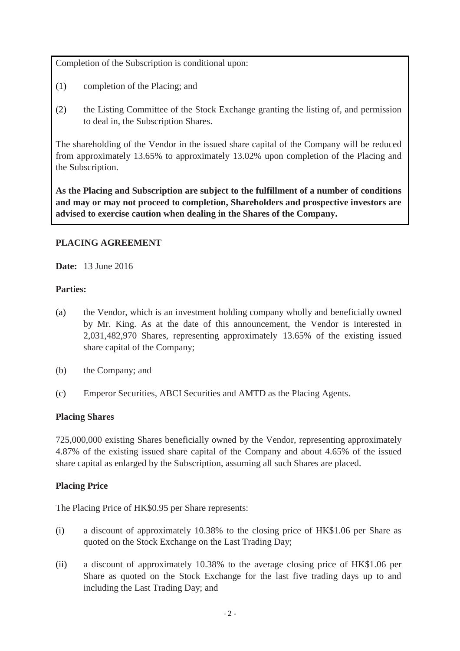Completion of the Subscription is conditional upon:

- (1) completion of the Placing; and
- (2) the Listing Committee of the Stock Exchange granting the listing of, and permission to deal in, the Subscription Shares.

The shareholding of the Vendor in the issued share capital of the Company will be reduced from approximately 13.65% to approximately 13.02% upon completion of the Placing and the Subscription.

**As the Placing and Subscription are subject to the fulfillment of a number of conditions and may or may not proceed to completion, Shareholders and prospective investors are advised to exercise caution when dealing in the Shares of the Company.**

# **PLACING AGREEMENT**

**Date:** 13 June 2016

# **Parties:**

- (a) the Vendor, which is an investment holding company wholly and beneficially owned by Mr. King. As at the date of this announcement, the Vendor is interested in 2,031,482,970 Shares, representing approximately 13.65% of the existing issued share capital of the Company;
- (b) the Company; and
- (c) Emperor Securities, ABCI Securities and AMTD as the Placing Agents.

# **Placing Shares**

725,000,000 existing Shares beneficially owned by the Vendor, representing approximately 4.87% of the existing issued share capital of the Company and about 4.65% of the issued share capital as enlarged by the Subscription, assuming all such Shares are placed.

# **Placing Price**

The Placing Price of HK\$0.95 per Share represents:

- (i) a discount of approximately 10.38% to the closing price of HK\$1.06 per Share as quoted on the Stock Exchange on the Last Trading Day;
- (ii) a discount of approximately 10.38% to the average closing price of HK\$1.06 per Share as quoted on the Stock Exchange for the last five trading days up to and including the Last Trading Day; and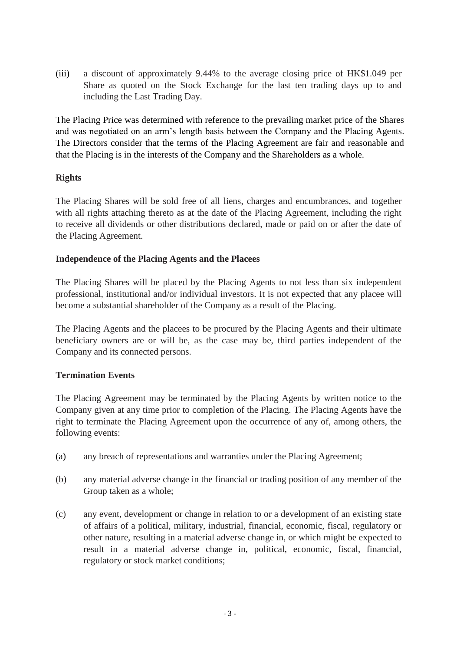(iii) a discount of approximately 9.44% to the average closing price of HK\$1.049 per Share as quoted on the Stock Exchange for the last ten trading days up to and including the Last Trading Day.

The Placing Price was determined with reference to the prevailing market price of the Shares and was negotiated on an arm's length basis between the Company and the Placing Agents. The Directors consider that the terms of the Placing Agreement are fair and reasonable and that the Placing is in the interests of the Company and the Shareholders as a whole.

# **Rights**

The Placing Shares will be sold free of all liens, charges and encumbrances, and together with all rights attaching thereto as at the date of the Placing Agreement, including the right to receive all dividends or other distributions declared, made or paid on or after the date of the Placing Agreement.

### **Independence of the Placing Agents and the Placees**

The Placing Shares will be placed by the Placing Agents to not less than six independent professional, institutional and/or individual investors. It is not expected that any placee will become a substantial shareholder of the Company as a result of the Placing.

The Placing Agents and the placees to be procured by the Placing Agents and their ultimate beneficiary owners are or will be, as the case may be, third parties independent of the Company and its connected persons.

# **Termination Events**

The Placing Agreement may be terminated by the Placing Agents by written notice to the Company given at any time prior to completion of the Placing. The Placing Agents have the right to terminate the Placing Agreement upon the occurrence of any of, among others, the following events:

- (a) any breach of representations and warranties under the Placing Agreement;
- (b) any material adverse change in the financial or trading position of any member of the Group taken as a whole;
- (c) any event, development or change in relation to or a development of an existing state of affairs of a political, military, industrial, financial, economic, fiscal, regulatory or other nature, resulting in a material adverse change in, or which might be expected to result in a material adverse change in, political, economic, fiscal, financial, regulatory or stock market conditions;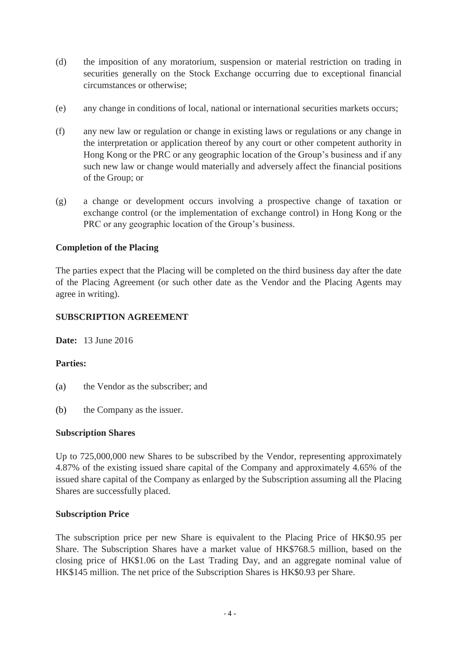- (d) the imposition of any moratorium, suspension or material restriction on trading in securities generally on the Stock Exchange occurring due to exceptional financial circumstances or otherwise;
- (e) any change in conditions of local, national or international securities markets occurs;
- (f) any new law or regulation or change in existing laws or regulations or any change in the interpretation or application thereof by any court or other competent authority in Hong Kong or the PRC or any geographic location of the Group's business and if any such new law or change would materially and adversely affect the financial positions of the Group; or
- (g) a change or development occurs involving a prospective change of taxation or exchange control (or the implementation of exchange control) in Hong Kong or the PRC or any geographic location of the Group's business.

### **Completion of the Placing**

The parties expect that the Placing will be completed on the third business day after the date of the Placing Agreement (or such other date as the Vendor and the Placing Agents may agree in writing).

#### **SUBSCRIPTION AGREEMENT**

**Date:** 13 June 2016

#### **Parties:**

- (a) the Vendor as the subscriber; and
- (b) the Company as the issuer.

#### **Subscription Shares**

Up to 725,000,000 new Shares to be subscribed by the Vendor, representing approximately 4.87% of the existing issued share capital of the Company and approximately 4.65% of the issued share capital of the Company as enlarged by the Subscription assuming all the Placing Shares are successfully placed.

#### **Subscription Price**

The subscription price per new Share is equivalent to the Placing Price of HK\$0.95 per Share. The Subscription Shares have a market value of HK\$768.5 million, based on the closing price of HK\$1.06 on the Last Trading Day, and an aggregate nominal value of HK\$145 million. The net price of the Subscription Shares is HK\$0.93 per Share.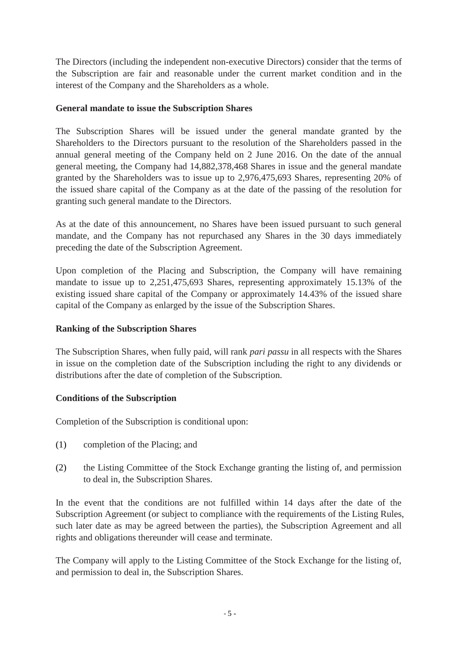The Directors (including the independent non-executive Directors) consider that the terms of the Subscription are fair and reasonable under the current market condition and in the interest of the Company and the Shareholders as a whole.

# **General mandate to issue the Subscription Shares**

The Subscription Shares will be issued under the general mandate granted by the Shareholders to the Directors pursuant to the resolution of the Shareholders passed in the annual general meeting of the Company held on 2 June 2016. On the date of the annual general meeting, the Company had 14,882,378,468 Shares in issue and the general mandate granted by the Shareholders was to issue up to 2,976,475,693 Shares, representing 20% of the issued share capital of the Company as at the date of the passing of the resolution for granting such general mandate to the Directors.

As at the date of this announcement, no Shares have been issued pursuant to such general mandate, and the Company has not repurchased any Shares in the 30 days immediately preceding the date of the Subscription Agreement.

Upon completion of the Placing and Subscription, the Company will have remaining mandate to issue up to 2,251,475,693 Shares, representing approximately 15.13% of the existing issued share capital of the Company or approximately 14.43% of the issued share capital of the Company as enlarged by the issue of the Subscription Shares.

# **Ranking of the Subscription Shares**

The Subscription Shares, when fully paid, will rank *pari passu* in all respects with the Shares in issue on the completion date of the Subscription including the right to any dividends or distributions after the date of completion of the Subscription.

### **Conditions of the Subscription**

Completion of the Subscription is conditional upon:

- (1) completion of the Placing; and
- (2) the Listing Committee of the Stock Exchange granting the listing of, and permission to deal in, the Subscription Shares.

In the event that the conditions are not fulfilled within 14 days after the date of the Subscription Agreement (or subject to compliance with the requirements of the Listing Rules, such later date as may be agreed between the parties), the Subscription Agreement and all rights and obligations thereunder will cease and terminate.

The Company will apply to the Listing Committee of the Stock Exchange for the listing of, and permission to deal in, the Subscription Shares.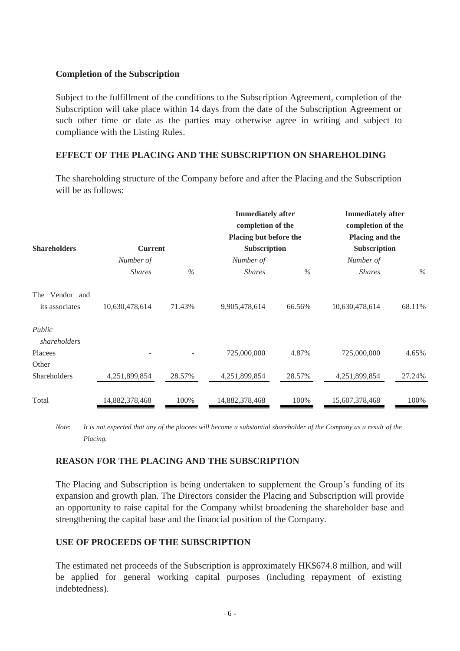### **Completion of the Subscription**

Subject to the fulfillment of the conditions to the Subscription Agreement, completion of the Subscription will take place within 14 days from the date of the Subscription Agreement or such other time or date as the parties may otherwise agree in writing and subject to compliance with the Listing Rules.

# **EFFECT OF THE PLACING AND THE SUBSCRIPTION ON SHAREHOLDING**

The shareholding structure of the Company before and after the Placing and the Subscription will be as follows:

|                        |                             |        | <b>Immediately after</b><br>completion of the<br>Placing but before the |        | <b>Immediately after</b><br>completion of the<br>Placing and the |        |
|------------------------|-----------------------------|--------|-------------------------------------------------------------------------|--------|------------------------------------------------------------------|--------|
| <b>Shareholders</b>    | <b>Current</b><br>Number of |        | Subscription<br>Number of                                               |        | Subscription<br>Number of                                        |        |
|                        |                             |        |                                                                         |        |                                                                  |        |
|                        | The Vendor and              |        |                                                                         |        |                                                                  |        |
| its associates         | 10,630,478,614              | 71.43% | 9,905,478,614                                                           | 66.56% | 10,630,478,614                                                   | 68.11% |
| Public<br>shareholders |                             |        |                                                                         |        |                                                                  |        |
| Placees                |                             |        | 725,000,000                                                             | 4.87%  | 725,000,000                                                      | 4.65%  |
| Other                  |                             |        |                                                                         |        |                                                                  |        |
| Shareholders           | 4,251,899,854               | 28.57% | 4,251,899,854                                                           | 28.57% | 4,251,899,854                                                    | 27.24% |
| Total                  | 14,882,378,468              | 100%   | 14,882,378,468                                                          | 100%   | 15,607,378,468                                                   | 100%   |

*Note*: *It is not expected that any of the placees will become a substantial shareholder of the Company as a result of the Placing.*

### **REASON FOR THE PLACING AND THE SUBSCRIPTION**

The Placing and Subscription is being undertaken to supplement the Group's funding of its expansion and growth plan. The Directors consider the Placing and Subscription will provide an opportunity to raise capital for the Company whilst broadening the shareholder base and strengthening the capital base and the financial position of the Company.

### **USE OF PROCEEDS OF THE SUBSCRIPTION**

The estimated net proceeds of the Subscription is approximately HK\$674.8 million, and will be applied for general working capital purposes (including repayment of existing indebtedness).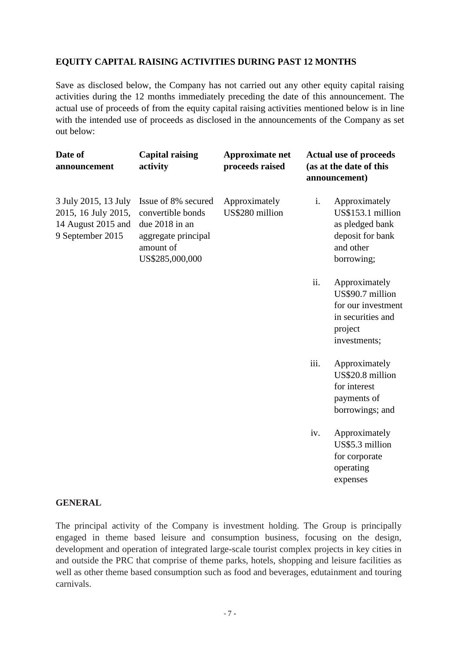# **EQUITY CAPITAL RAISING ACTIVITIES DURING PAST 12 MONTHS**

Save as disclosed below, the Company has not carried out any other equity capital raising activities during the 12 months immediately preceding the date of this announcement. The actual use of proceeds of from the equity capital raising activities mentioned below is in line with the intended use of proceeds as disclosed in the announcements of the Company as set out below:

| Date of<br>announcement                                                               | <b>Capital raising</b><br>activity                                                                                | <b>Approximate net</b><br>proceeds raised |      | <b>Actual use of proceeds</b><br>(as at the date of this<br>announcement)                               |
|---------------------------------------------------------------------------------------|-------------------------------------------------------------------------------------------------------------------|-------------------------------------------|------|---------------------------------------------------------------------------------------------------------|
| 3 July 2015, 13 July<br>2015, 16 July 2015,<br>14 August 2015 and<br>9 September 2015 | Issue of 8% secured<br>convertible bonds<br>due 2018 in an<br>aggregate principal<br>amount of<br>US\$285,000,000 | Approximately<br>US\$280 million          | i.   | Approximately<br>US\$153.1 million<br>as pledged bank<br>deposit for bank<br>and other<br>borrowing;    |
|                                                                                       |                                                                                                                   |                                           | ii.  | Approximately<br>US\$90.7 million<br>for our investment<br>in securities and<br>project<br>investments; |
|                                                                                       |                                                                                                                   |                                           | iii. | Approximately<br>US\$20.8 million<br>for interest<br>payments of<br>borrowings; and                     |
|                                                                                       |                                                                                                                   |                                           | iv.  | Approximately<br>US\$5.3 million<br>for corporate<br>operating                                          |

#### **GENERAL**

The principal activity of the Company is investment holding. The Group is principally engaged in theme based leisure and consumption business, focusing on the design, development and operation of integrated large-scale tourist complex projects in key cities in and outside the PRC that comprise of theme parks, hotels, shopping and leisure facilities as well as other theme based consumption such as food and beverages, edutainment and touring carnivals.

expenses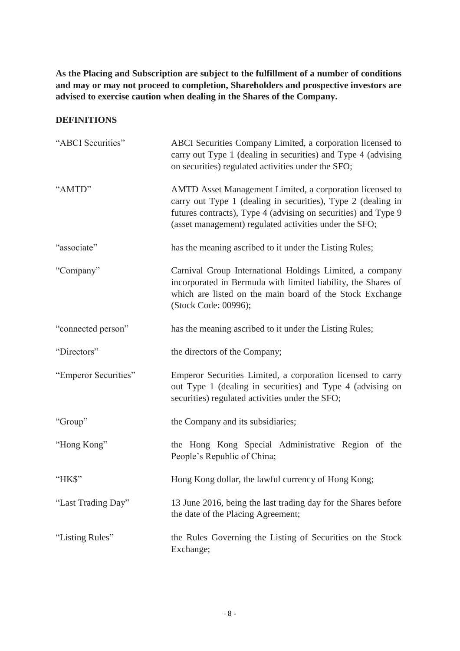**As the Placing and Subscription are subject to the fulfillment of a number of conditions and may or may not proceed to completion, Shareholders and prospective investors are advised to exercise caution when dealing in the Shares of the Company.**

# **DEFINITIONS**

| "ABCI Securities"    | ABCI Securities Company Limited, a corporation licensed to<br>carry out Type 1 (dealing in securities) and Type 4 (advising<br>on securities) regulated activities under the SFO;                                                                    |
|----------------------|------------------------------------------------------------------------------------------------------------------------------------------------------------------------------------------------------------------------------------------------------|
| "AMTD"               | AMTD Asset Management Limited, a corporation licensed to<br>carry out Type 1 (dealing in securities), Type 2 (dealing in<br>futures contracts), Type 4 (advising on securities) and Type 9<br>(asset management) regulated activities under the SFO; |
| "associate"          | has the meaning ascribed to it under the Listing Rules;                                                                                                                                                                                              |
| "Company"            | Carnival Group International Holdings Limited, a company<br>incorporated in Bermuda with limited liability, the Shares of<br>which are listed on the main board of the Stock Exchange<br>(Stock Code: 00996);                                        |
| "connected person"   | has the meaning ascribed to it under the Listing Rules;                                                                                                                                                                                              |
| "Directors"          | the directors of the Company;                                                                                                                                                                                                                        |
| "Emperor Securities" | Emperor Securities Limited, a corporation licensed to carry<br>out Type 1 (dealing in securities) and Type 4 (advising on<br>securities) regulated activities under the SFO;                                                                         |
| "Group"              | the Company and its subsidiaries;                                                                                                                                                                                                                    |
| "Hong Kong"          | the Hong Kong Special Administrative Region of the<br>People's Republic of China;                                                                                                                                                                    |
| "HK\$"               | Hong Kong dollar, the lawful currency of Hong Kong;                                                                                                                                                                                                  |
| "Last Trading Day"   | 13 June 2016, being the last trading day for the Shares before<br>the date of the Placing Agreement;                                                                                                                                                 |
| "Listing Rules"      | the Rules Governing the Listing of Securities on the Stock<br>Exchange;                                                                                                                                                                              |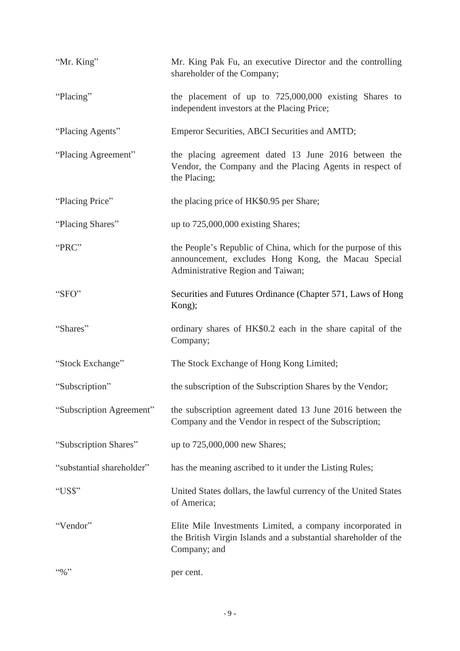| "Mr. King"                | Mr. King Pak Fu, an executive Director and the controlling<br>shareholder of the Company;                                                                 |
|---------------------------|-----------------------------------------------------------------------------------------------------------------------------------------------------------|
| "Placing"                 | the placement of up to $725,000,000$ existing Shares to<br>independent investors at the Placing Price;                                                    |
| "Placing Agents"          | Emperor Securities, ABCI Securities and AMTD;                                                                                                             |
| "Placing Agreement"       | the placing agreement dated 13 June 2016 between the<br>Vendor, the Company and the Placing Agents in respect of<br>the Placing;                          |
| "Placing Price"           | the placing price of HK\$0.95 per Share;                                                                                                                  |
| "Placing Shares"          | up to 725,000,000 existing Shares;                                                                                                                        |
| "PRC"                     | the People's Republic of China, which for the purpose of this<br>announcement, excludes Hong Kong, the Macau Special<br>Administrative Region and Taiwan; |
| "SFO"                     | Securities and Futures Ordinance (Chapter 571, Laws of Hong<br>Kong);                                                                                     |
| "Shares"                  | ordinary shares of HK\$0.2 each in the share capital of the<br>Company;                                                                                   |
| "Stock Exchange"          | The Stock Exchange of Hong Kong Limited;                                                                                                                  |
| "Subscription"            | the subscription of the Subscription Shares by the Vendor;                                                                                                |
| "Subscription Agreement"  | the subscription agreement dated 13 June 2016 between the<br>Company and the Vendor in respect of the Subscription;                                       |
| "Subscription Shares"     | up to 725,000,000 new Shares;                                                                                                                             |
| "substantial shareholder" | has the meaning ascribed to it under the Listing Rules;                                                                                                   |
| "US\$"                    | United States dollars, the lawful currency of the United States<br>of America;                                                                            |
| "Vendor"                  | Elite Mile Investments Limited, a company incorporated in<br>the British Virgin Islands and a substantial shareholder of the<br>Company; and              |
| $4.6\%$                   | per cent.                                                                                                                                                 |